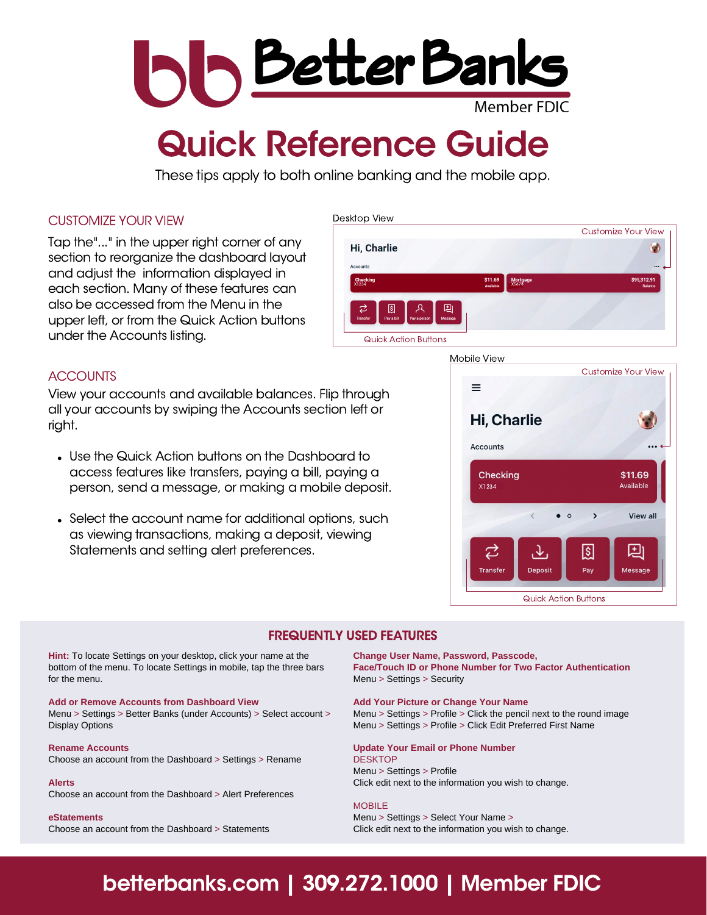

# Quick Reference Guide

These tips apply to both online banking and the mobile app.

Dosktop View

# CUSTOMIZE YOUR VIEW

Tap the"..." in the upper right corner of any section to reorganize the dashboard layout and adjust the information displayed in each section. Many of these features can also be accessed from the Menu in the upper left, or from the Quick Action buttons under the Accounts listing.

| DESNIOD VIEW                                                     |                               |          |                        |
|------------------------------------------------------------------|-------------------------------|----------|------------------------|
|                                                                  |                               |          | Customize Your View 1  |
| Hi, Charlie                                                      |                               |          |                        |
| <b>Accounts</b>                                                  |                               |          | $\cdots$               |
| <b>Checking</b><br>X1234                                         | \$11.69<br>X5678<br>Available | Mortgage | \$95,312.91<br>Balance |
| ⇄<br>圆<br>囘<br>Message<br>Pay a bill<br>Transfer<br>Pay a person |                               |          |                        |
| <b>Quick Action Buttons</b>                                      |                               |          |                        |

# **ACCOUNTS**

View your accounts and available balances. Flip through all your accounts by swiping the Accounts section left or right.

- Use the Quick Action buttons on the Dashboard to access features like transfers, paying a bill, paying a person, send a message, or making a mobile deposit.
- Select the account name for additional options, such as viewing transactions, making a deposit, viewing Statements and setting alert preferences.



# FREQUENTLY USED FEATURES

**Hint:** To locate Settings on your desktop, click your name at the bottom of the menu. To locate Settings in mobile, tap the three bars for the menu.

### **Add or Remove Accounts from Dashboard View**

Menu > Settings > Better Banks (under Accounts) > Select account > Display Options

### **Rename Accounts**

Choose an account from the Dashboard > Settings > Rename

### **Alerts**

Choose an account from the Dashboard > Alert Preferences

#### **eStatements**

Choose an account from the Dashboard > Statements

**Change User Name, Password, Passcode, Face/Touch ID or Phone Number for Two Factor Authentication** Menu > Settings > Security

### **Add Your Picture or Change Your Name**

Menu > Settings > Profile > Click the pencil next to the round image Menu > Settings > Profile > Click Edit Preferred First Name

### **Update Your Email or Phone Number**

DESKTOP Menu > Settings > Profile Click edit next to the information you wish to change.

### **MOBILE**

Menu > Settings > Select Your Name > Click edit next to the information you wish to change.

# betterbanks.com | 309.272.1000 | Member FDIC